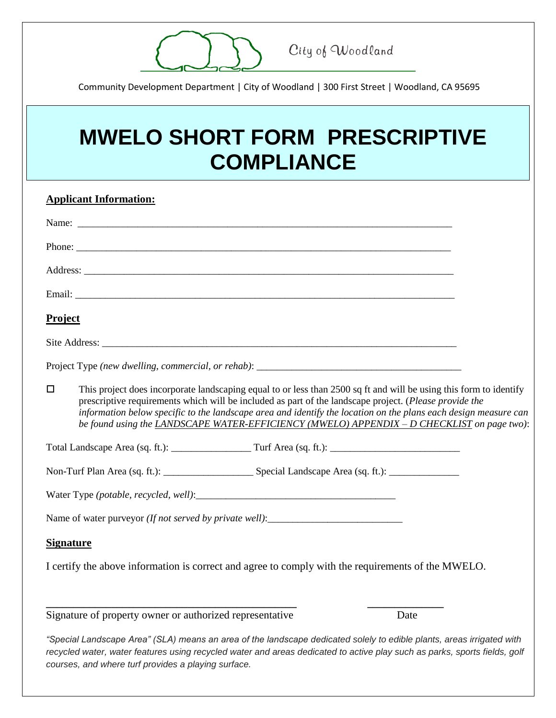

City of Woodland

Community Development Department | City of Woodland | 300 First Street | Woodland, CA 95695

## **MWELO SHORT FORM PRESCRIPTIVE COMPLIANCE**

| <b>Applicant Information:</b>                                                                                                                                                                                                                                                                                                                                                                                                                           |  |
|---------------------------------------------------------------------------------------------------------------------------------------------------------------------------------------------------------------------------------------------------------------------------------------------------------------------------------------------------------------------------------------------------------------------------------------------------------|--|
|                                                                                                                                                                                                                                                                                                                                                                                                                                                         |  |
| Phone:                                                                                                                                                                                                                                                                                                                                                                                                                                                  |  |
|                                                                                                                                                                                                                                                                                                                                                                                                                                                         |  |
|                                                                                                                                                                                                                                                                                                                                                                                                                                                         |  |
| <b>Project</b>                                                                                                                                                                                                                                                                                                                                                                                                                                          |  |
|                                                                                                                                                                                                                                                                                                                                                                                                                                                         |  |
|                                                                                                                                                                                                                                                                                                                                                                                                                                                         |  |
| This project does incorporate landscaping equal to or less than 2500 sq ft and will be using this form to identify<br>$\Box$<br>prescriptive requirements which will be included as part of the landscape project. (Please provide the<br>information below specific to the landscape area and identify the location on the plans each design measure can<br>be found using the LANDSCAPE WATER-EFFICIENCY (MWELO) APPENDIX - D CHECKLIST on page two): |  |
|                                                                                                                                                                                                                                                                                                                                                                                                                                                         |  |
|                                                                                                                                                                                                                                                                                                                                                                                                                                                         |  |
|                                                                                                                                                                                                                                                                                                                                                                                                                                                         |  |
| Name of water purveyor (If not served by private well):__________________________                                                                                                                                                                                                                                                                                                                                                                       |  |
| <b>Signature</b>                                                                                                                                                                                                                                                                                                                                                                                                                                        |  |
| I certify the above information is correct and agree to comply with the requirements of the MWELO.                                                                                                                                                                                                                                                                                                                                                      |  |
| Signature of property owner or authorized representative<br>Date                                                                                                                                                                                                                                                                                                                                                                                        |  |
| "Special Landscape Area" (SLA) means an area of the landscape dedicated solely to edible plants, areas irrigated with<br>recycled water, water features using recycled water and areas dedicated to active play such as parks, sports fields, golf                                                                                                                                                                                                      |  |

*courses, and where turf provides a playing surface.*